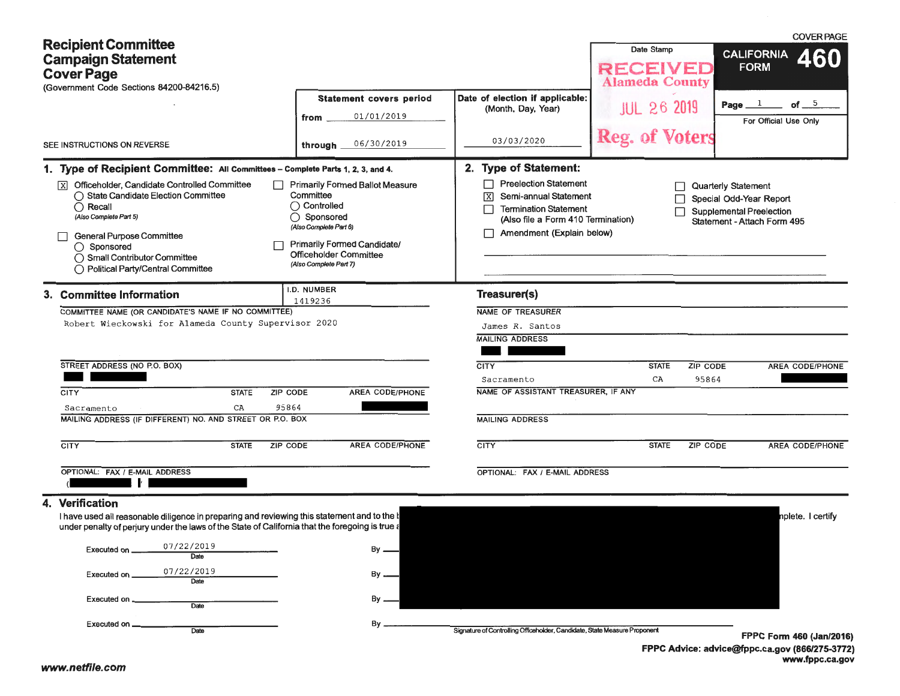| <b>Recipient Committee</b>                                                                                                                                                                                                                                                        |                                                                                                                                                                                                                        |                                                                                                                                                                                     | Date Stamp                               | <b>COVER PAGE</b><br><b>CALIFORNIA</b>                                                                                  |
|-----------------------------------------------------------------------------------------------------------------------------------------------------------------------------------------------------------------------------------------------------------------------------------|------------------------------------------------------------------------------------------------------------------------------------------------------------------------------------------------------------------------|-------------------------------------------------------------------------------------------------------------------------------------------------------------------------------------|------------------------------------------|-------------------------------------------------------------------------------------------------------------------------|
| <b>Campaign Statement</b><br><b>Cover Page</b><br>(Government Code Sections 84200-84216.5)                                                                                                                                                                                        |                                                                                                                                                                                                                        |                                                                                                                                                                                     | <b>RECEIVED</b><br><b>Alameda County</b> | <b>FORM</b>                                                                                                             |
|                                                                                                                                                                                                                                                                                   | <b>Statement covers period</b><br>01/01/2019<br>from                                                                                                                                                                   | Date of election if applicable:<br>(Month, Day, Year)                                                                                                                               | <b>JUL 26 2019</b>                       | of $=$ $5$<br>Page $1$<br>For Official Use Only                                                                         |
| SEE INSTRUCTIONS ON REVERSE                                                                                                                                                                                                                                                       | 06/30/2019<br>through $\overline{\phantom{a}}$                                                                                                                                                                         | 03/03/2020                                                                                                                                                                          | Reg. of Voters                           |                                                                                                                         |
| 1. Type of Recipient Committee: All Committees - Complete Parts 1, 2, 3, and 4.                                                                                                                                                                                                   |                                                                                                                                                                                                                        | 2. Type of Statement:                                                                                                                                                               |                                          |                                                                                                                         |
| $\boxed{\text{X}}$ Officeholder, Candidate Controlled Committee<br>◯ State Candidate Election Committee<br>$\bigcirc$ Recall<br>(Also Complete Part 5)<br><b>General Purpose Committee</b><br>◯ Sponsored<br>◯ Small Contributor Committee<br>◯ Political Party/Central Committee | $\Box$ Primarily Formed Ballot Measure<br>Committee<br>$\bigcirc$ Controlled<br>◯ Sponsored<br>(Also Complete Part 6)<br><b>Primarily Formed Candidate/</b><br><b>Officeholder Committee</b><br>(Also Complete Part 7) | <b>Preelection Statement</b><br>Semi-annual Statement<br>$\overline{\mathbf{x}}$<br><b>Termination Statement</b><br>(Also file a Form 410 Termination)<br>Amendment (Explain below) | $\Box$<br>П                              | <b>Quarterly Statement</b><br>Special Odd-Year Report<br><b>Supplemental Preelection</b><br>Statement - Attach Form 495 |
| 3. Committee Information                                                                                                                                                                                                                                                          | I.D. NUMBER<br>1419236                                                                                                                                                                                                 | Treasurer(s)                                                                                                                                                                        |                                          |                                                                                                                         |
| COMMITTEE NAME (OR CANDIDATE'S NAME IF NO COMMITTEE)<br>Robert Wieckowski for Alameda County Supervisor 2020<br>STREET ADDRESS (NO P.O. BOX)                                                                                                                                      |                                                                                                                                                                                                                        | <b>NAME OF TREASURER</b><br>James R. Santos<br><b>MAILING ADDRESS</b><br><b>CITY</b>                                                                                                | <b>STATE</b><br>ZIP CODE                 | AREA CODE/PHONE                                                                                                         |
|                                                                                                                                                                                                                                                                                   |                                                                                                                                                                                                                        | Sacramento                                                                                                                                                                          | 95864<br>CA                              |                                                                                                                         |
| <b>STATE</b><br>CITY                                                                                                                                                                                                                                                              | ZIP CODE<br><b>AREA CODE/PHONE</b>                                                                                                                                                                                     | NAME OF ASSISTANT TREASURER, IF ANY                                                                                                                                                 |                                          |                                                                                                                         |
| CA<br>Sacramento<br>MAILING ADDRESS (IF DIFFERENT) NO. AND STREET OR P.O. BOX                                                                                                                                                                                                     | 95864                                                                                                                                                                                                                  | <b>MAILING ADDRESS</b>                                                                                                                                                              |                                          |                                                                                                                         |
| <b>CITY</b><br><b>STATE</b>                                                                                                                                                                                                                                                       | <b>AREA CODE/PHONE</b><br>ZIP CODE                                                                                                                                                                                     | <b>CITY</b>                                                                                                                                                                         | <b>STATE</b><br><b>ZIP CODE</b>          | <b>AREA CODE/PHONE</b>                                                                                                  |
| OPTIONAL: FAX / E-MAIL ADDRESS<br>$\sim$ 1 $^{\prime}$ .                                                                                                                                                                                                                          |                                                                                                                                                                                                                        | OPTIONAL: FAX / E-MAIL ADDRESS                                                                                                                                                      |                                          |                                                                                                                         |
| 4. Verification<br>I have used all reasonable diligence in preparing and reviewing this statement and to the<br>under penalty of perjury under the laws of the State of California that the foregoing is true                                                                     |                                                                                                                                                                                                                        |                                                                                                                                                                                     |                                          | nplete. I certify                                                                                                       |
| 07/22/2019<br>Executed on<br>Date                                                                                                                                                                                                                                                 | $By -$                                                                                                                                                                                                                 |                                                                                                                                                                                     |                                          |                                                                                                                         |
| 07/22/2019<br>Executed on<br>Date                                                                                                                                                                                                                                                 | $By -$                                                                                                                                                                                                                 |                                                                                                                                                                                     |                                          |                                                                                                                         |
| Executed on<br>Date                                                                                                                                                                                                                                                               | By.                                                                                                                                                                                                                    |                                                                                                                                                                                     |                                          |                                                                                                                         |
|                                                                                                                                                                                                                                                                                   |                                                                                                                                                                                                                        |                                                                                                                                                                                     |                                          |                                                                                                                         |

**FPPC Advice: advlce@fppc.ca.gov (866/275-3772) www.fppc.ca.gov**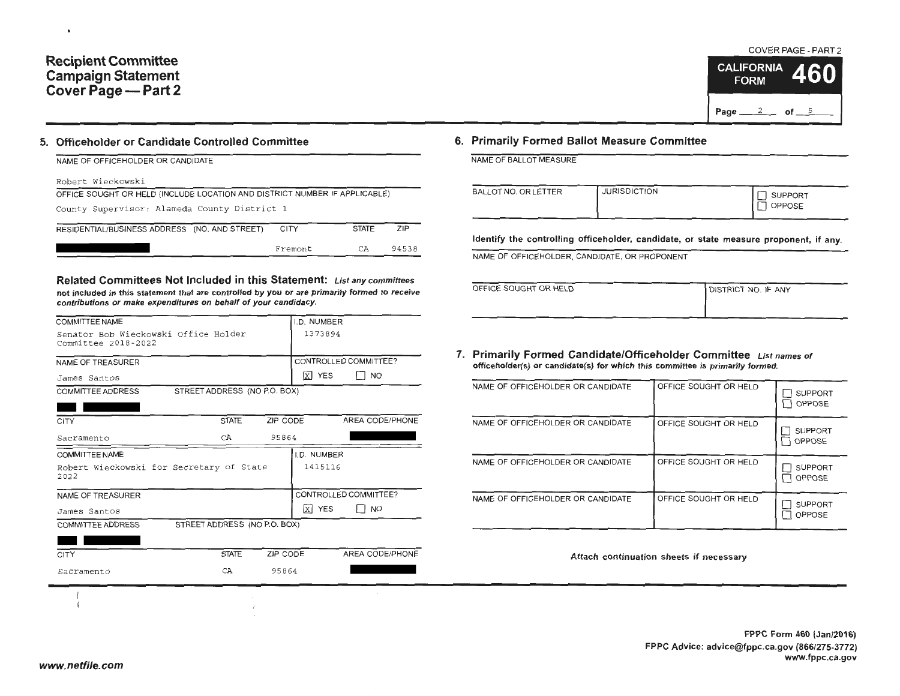# **Recipient Committee Campaign Statement Cover Page - Part 2**

 $\bullet$ 

## **5. Officeholder or Candidate Controlled Committee**

| NAME OF OFFICEHOLDER OR CANDIDATE                                          |             |              |            |  |  |  |  |
|----------------------------------------------------------------------------|-------------|--------------|------------|--|--|--|--|
| Robert Wieckowski                                                          |             |              |            |  |  |  |  |
| OFFICE SOUGHT OR HELD (INCLUDE LOCATION AND DISTRICT NUMBER IF APPLICABLE) |             |              |            |  |  |  |  |
| County Supervisor: Alameda County District 1                               |             |              |            |  |  |  |  |
| RESIDENTIAL/BUSINESS ADDRESS (NO. AND STREET)                              | <b>CITY</b> | <b>STATE</b> | <b>ZIP</b> |  |  |  |  |
|                                                                            | Fremont     | СA           | 94538      |  |  |  |  |

**Related Committees Not Included in this Statement: List any committees not included in this statement that are controlled by you or are primarily formed to receive contributions or make expenditures on behalf of your candidacy.** 

| <b>COMMITTEE NAME</b>                                       |              |                              | I.D. NUMBER |                       |
|-------------------------------------------------------------|--------------|------------------------------|-------------|-----------------------|
| Senator Bob Wieckowski Office Holder<br>Committee 2018-2022 |              |                              | 1373894     |                       |
| NAME OF TREASURER                                           |              |                              |             | CONTROLLED COMMITTEE? |
| James Santos                                                |              |                              | $X$ YES     | T NO                  |
| <b>COMMITTEE ADDRESS</b>                                    |              | STREET ADDRESS (NO P.O. BOX) |             |                       |
|                                                             |              |                              |             |                       |
| <b>CITY</b>                                                 | <b>STATE</b> | ZIP CODE                     |             | AREA CODE/PHONE       |
| Sacramento                                                  | CA.          | 95864                        |             |                       |
| <b>COMMITTEE NAME</b>                                       |              |                              | I.D. NUMBER |                       |
| Robert Wieckowski for Secretary of State<br>2022            |              |                              | 1415116     |                       |
| NAME OF TREASURER                                           |              |                              |             | CONTROLLED COMMITTEE? |
| James Santos                                                |              |                              | X YES       | <b>NO</b>             |
| <b>COMMITTEE ADDRESS</b>                                    |              | STREET ADDRESS (NO P.O. BOX) |             |                       |
|                                                             |              |                              |             |                       |
| CITY                                                        | <b>STATE</b> | ZIP CODE                     |             | AREA CODE/PHONE       |
| Sacramento                                                  | CA           | 95864                        |             |                       |

Y.

#### COVER PAGE - PART 2 **SSC 2 CALIFORNIA** 46

Page  $2$  of  $5$ 

**FORM** 

## **6. Primarily Formed Ballot Measure Committee**

NAME OF BALLOT MEASURE

| <b>BALLOT NO. OR LETTER</b> | <b>JURISDICTION</b> | SUPPORT       |
|-----------------------------|---------------------|---------------|
|                             |                     | <b>OPPOSE</b> |

**Identify the controlling officeholder, candidate, or state measure proponent, if any.** 

NAME OF OFFICEHOLDER, CANDIDATE, OR PROPONENT

| OFFICE SOUGHT OR HELD | <b>DISTRICT NO. IF ANY</b> |
|-----------------------|----------------------------|
|                       |                            |

**7. Primarily Formed Candidate/Officeholder Committee List names of officeholder(s) or candidate(s) for which this committee is primarily formed.** 

| NAME OF OFFICEHOLDER OR CANDIDATE | OFFICE SOUGHT OR HELD | <b>SUPPORT</b><br>OPPOSE        |
|-----------------------------------|-----------------------|---------------------------------|
| NAME OF OFFICEHOLDER OR CANDIDATE | OFFICE SOUGHT OR HELD | <b>SUPPORT</b><br>OPPOSE        |
| NAME OF OFFICEHOLDER OR CANDIDATE | OFFICE SOUGHT OR HELD | <b>SUPPORT</b><br>OPPOSE        |
| NAME OF OFFICEHOLDER OR CANDIDATE | OFFICE SOUGHT OR HELD | <b>SUPPORT</b><br><b>OPPOSE</b> |

**Attach continuation sheets if necessary**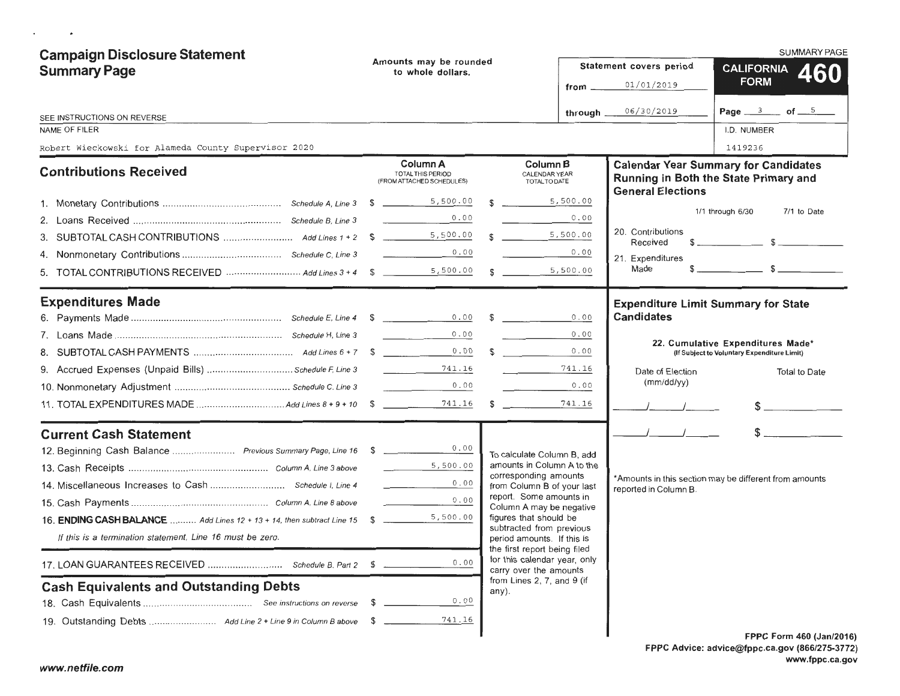| <b>Campaign Disclosure Statement</b><br><b>Summary Page</b>            |     | Amounts may be rounded<br>to whole dollars.                                                                                     |    |                                                                                        |                 | SUMMARY PAGE                                                                    |                                                                                                                                                                                                                                                                                                                     |  |  |
|------------------------------------------------------------------------|-----|---------------------------------------------------------------------------------------------------------------------------------|----|----------------------------------------------------------------------------------------|-----------------|---------------------------------------------------------------------------------|---------------------------------------------------------------------------------------------------------------------------------------------------------------------------------------------------------------------------------------------------------------------------------------------------------------------|--|--|
|                                                                        |     |                                                                                                                                 |    |                                                                                        |                 | Statement covers period                                                         | CALIFORNIA 460                                                                                                                                                                                                                                                                                                      |  |  |
|                                                                        |     |                                                                                                                                 |    |                                                                                        | $from$ $\qquad$ | 01/01/2019                                                                      | <b>FORM</b>                                                                                                                                                                                                                                                                                                         |  |  |
| SEE INSTRUCTIONS ON REVERSE                                            |     |                                                                                                                                 |    |                                                                                        | through $\_\_$  | 06/30/2019                                                                      | Page $3$ of $5$                                                                                                                                                                                                                                                                                                     |  |  |
| <b>NAME OF FILER</b>                                                   |     |                                                                                                                                 |    |                                                                                        |                 |                                                                                 | I.D. NUMBER                                                                                                                                                                                                                                                                                                         |  |  |
| Robert Wieckowski for Alameda County Supervisor 2020                   |     |                                                                                                                                 |    |                                                                                        |                 |                                                                                 | 1419236                                                                                                                                                                                                                                                                                                             |  |  |
| <b>Contributions Received</b>                                          |     | Column A<br><b>TOTAL THIS PERIOD</b><br>(FROM ATTACHED SCHEDULES)                                                               |    | Column B<br>CALENDAR YEAR<br>TOTAL TO DATE                                             |                 | <b>General Elections</b>                                                        | <b>Calendar Year Summary for Candidates</b><br>Running in Both the State Primary and                                                                                                                                                                                                                                |  |  |
|                                                                        |     |                                                                                                                                 |    | 5,500.00                                                                               |                 |                                                                                 |                                                                                                                                                                                                                                                                                                                     |  |  |
|                                                                        |     | 0.00                                                                                                                            |    |                                                                                        | 0.00            |                                                                                 | 1/1 through 6/30<br>7/1 to Date                                                                                                                                                                                                                                                                                     |  |  |
|                                                                        |     |                                                                                                                                 |    | $\frac{5}{100}$ , 500.00                                                               |                 | 20. Contributions<br>Received                                                   | $\frac{1}{2}$ $\frac{1}{2}$ $\frac{1}{2}$ $\frac{1}{2}$ $\frac{1}{2}$ $\frac{1}{2}$ $\frac{1}{2}$ $\frac{1}{2}$ $\frac{1}{2}$ $\frac{1}{2}$ $\frac{1}{2}$ $\frac{1}{2}$ $\frac{1}{2}$ $\frac{1}{2}$ $\frac{1}{2}$ $\frac{1}{2}$ $\frac{1}{2}$ $\frac{1}{2}$ $\frac{1}{2}$ $\frac{1}{2}$ $\frac{1}{2}$ $\frac{1}{2}$ |  |  |
|                                                                        |     | 0.00<br>and the company of                                                                                                      |    |                                                                                        | 0.00            | 21. Expenditures                                                                |                                                                                                                                                                                                                                                                                                                     |  |  |
| 5.                                                                     |     |                                                                                                                                 |    | 5,500.00<br>$\mathbb{S}$                                                               |                 | Made                                                                            |                                                                                                                                                                                                                                                                                                                     |  |  |
| <b>Expenditures Made</b>                                               |     |                                                                                                                                 |    |                                                                                        |                 | <b>Expenditure Limit Summary for State</b>                                      |                                                                                                                                                                                                                                                                                                                     |  |  |
|                                                                        |     |                                                                                                                                 |    | $\mathbb{S}$                                                                           | 0.00            | <b>Candidates</b>                                                               |                                                                                                                                                                                                                                                                                                                     |  |  |
|                                                                        |     | 0.00                                                                                                                            |    |                                                                                        | 0.00            |                                                                                 | 22. Cumulative Expenditures Made*                                                                                                                                                                                                                                                                                   |  |  |
|                                                                        |     | 0.00                                                                                                                            | \$ | <u> 1999 - Jan A</u>                                                                   | 0.00            |                                                                                 | (If Subject to Voluntary Expenditure Limit)                                                                                                                                                                                                                                                                         |  |  |
| 9. Accrued Expenses (Unpaid Bills)  Schedule F, Line 3                 |     | 741.16<br>$\mathcal{L}^{\mathcal{L}}(\mathcal{L}^{\mathcal{L}})$ , where $\mathcal{L}^{\mathcal{L}}(\mathcal{L}^{\mathcal{L}})$ |    |                                                                                        | 741.16          | Date of Election                                                                | <b>Total to Date</b>                                                                                                                                                                                                                                                                                                |  |  |
|                                                                        |     | 0.00<br><b>Contract Contract Contract</b>                                                                                       |    |                                                                                        | 0.00            | (mm/dd/yy)                                                                      |                                                                                                                                                                                                                                                                                                                     |  |  |
|                                                                        |     | 741.16                                                                                                                          | \$ |                                                                                        | 741.16          |                                                                                 |                                                                                                                                                                                                                                                                                                                     |  |  |
| <b>Current Cash Statement</b>                                          |     |                                                                                                                                 |    |                                                                                        |                 |                                                                                 |                                                                                                                                                                                                                                                                                                                     |  |  |
| 12. Beginning Cash Balance  Previous Summary Page, Line 16 \$          |     | 0.00                                                                                                                            |    | To calculate Column B, add                                                             |                 |                                                                                 |                                                                                                                                                                                                                                                                                                                     |  |  |
|                                                                        |     | 5,500.00                                                                                                                        |    | amounts in Column A to the<br>corresponding amounts                                    |                 | *Amounts in this section may be different from amounts<br>reported in Column B. |                                                                                                                                                                                                                                                                                                                     |  |  |
|                                                                        |     | 0.00<br>the contract of the contract of                                                                                         |    | from Column B of your last                                                             |                 |                                                                                 |                                                                                                                                                                                                                                                                                                                     |  |  |
|                                                                        |     | 0.00<br><b>Contract Contract Contract</b>                                                                                       |    | report. Some amounts in<br>Column A may be negative                                    |                 |                                                                                 |                                                                                                                                                                                                                                                                                                                     |  |  |
| 16. ENDING CASH BALANCE  Add Lines 12 + 13 + 14, then subtract Line 15 | - S | 5,500.00                                                                                                                        |    | figures that should be                                                                 |                 |                                                                                 |                                                                                                                                                                                                                                                                                                                     |  |  |
| If this is a termination statement, Line 16 must be zero.              |     |                                                                                                                                 |    | subtracted from previous<br>period amounts. If this is<br>the first report being filed |                 |                                                                                 |                                                                                                                                                                                                                                                                                                                     |  |  |
|                                                                        |     | 0.00                                                                                                                            |    | for this calendar year, only<br>carry over the amounts                                 |                 |                                                                                 |                                                                                                                                                                                                                                                                                                                     |  |  |
| <b>Cash Equivalents and Outstanding Debts</b>                          |     |                                                                                                                                 |    | from Lines 2, 7, and 9 (if<br>any).                                                    |                 |                                                                                 |                                                                                                                                                                                                                                                                                                                     |  |  |
|                                                                        |     | 0.00                                                                                                                            |    |                                                                                        |                 |                                                                                 |                                                                                                                                                                                                                                                                                                                     |  |  |
|                                                                        | \$  | 741.16                                                                                                                          |    |                                                                                        |                 |                                                                                 |                                                                                                                                                                                                                                                                                                                     |  |  |
|                                                                        |     |                                                                                                                                 |    |                                                                                        |                 |                                                                                 | FPPC Form 460 (Jan/2016                                                                                                                                                                                                                                                                                             |  |  |

 $\mathcal{A}^{\mathcal{A}}$  , and  $\mathcal{A}^{\mathcal{A}}$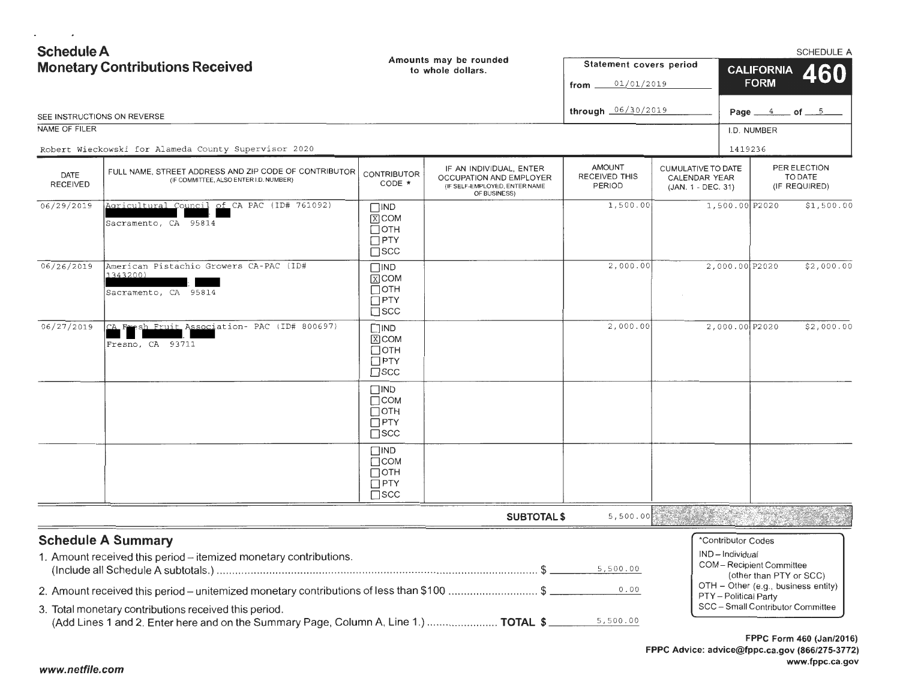**Schedule A** SCHEDULE A Amounts may be rounded Statement covers period **Monetary Contributions Received CALIFORNIA** to whole dollars. **FORM**  $01/01/2019$ from through  $06/30/2019$ Page  $4$  of  $5$ SEE INSTRUCTIONS ON REVERSE NAME OF FILER I.D. NUMBER 1419236 Robert Wieckowski for Alameda County Supervisor 2020 **THUOMA CUMULATIVE TO DATE** PER ELECTION IF AN INDIVIDUAL, ENTER FULL NAME, STREET ADDRESS AND ZIP CODE OF CONTRIBUTOR **CONTRIBUTOR** DATE RECEIVED THIS TO DATE CALENDAR YEAR OCCUPATION AND EMPLOYER (IF COMMITTEE, ALSO ENTER I.D. NUMBER) CODE \* **RECEIVED** PERIOD (IF REQUIRED) (IF SELF-EMPLOYED, ENTER NAME (JAN. 1 - DEC. 31) OF BUSINESS) Agricultural Council of CA PAC (ID# 761092) 1,500.00 1,500.00 P2020  $$1,500.00$  $06/29/2019$  $\square$ IND  $\overline{X}$  COM Sacramento, CA 95814  $\Box$  OTH  $\Box$ PTY  $\Box$ scc American Pistachio Growers CA-PAC (ID# 2,000.00 P2020  $$2,000.00$  $06/26/2019$  $\Box$ IND  $2,000.00$ 1343200)  $X$  COM ПОТН Sacramento, CA 95814  $\Box$ PTY  $\Box$ scc sh Fruit Association- PAC (ID# 800697)  $2.000.00$  $2,000.00$   $P2020$  $$2,000.00$ 06/27/2019 l CA  $\square$ IND  $\boxed{X}$  COM Fresno, CA 93711 ПОТН  $\Box$ PTY  $\Box$ scc  $\Box$ IND  $\Box$ COM ПОТН  $\Box$ PTY  $\Box$ scc  $\Box$ IND  $\Box$ COM ПОТН  $\Box$ PTY  $\Box$ scc **SUBTOTAL \$**  $5,500.00$ **Schedule A Summary** \*Contributor Codes IND-Individual 1. Amount received this period - itemized monetary contributions. **COM** - Recipient Committee 5,500.00 (other than PTY or SCC) OTH - Other (e.g., business entity) 2. Amount received this period – unitemized monetary contributions of less than \$100 ..........................\$  $0.00$ PTY - Political Party SCC - Small Contributor Committee 3. Total monetary contributions received this period. (Add Lines 1 and 2. Enter here and on the Summary Page, Column A, Line 1.) ...................... TOTAL \$ 5,500.00